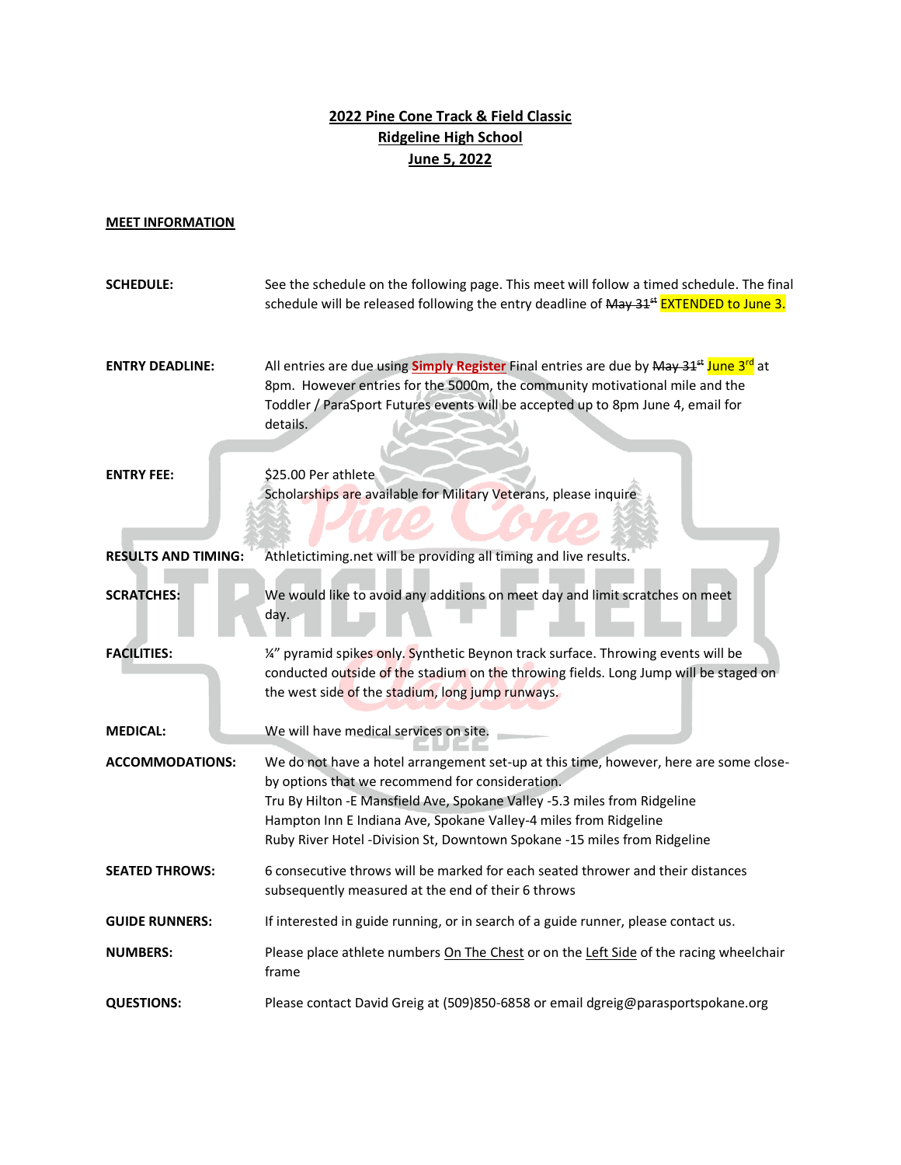## **2022 Pine Cone Track & Field Classic Ridgeline High School June 5, 2022**

## **MEET INFORMATION**

| <b>SCHEDULE:</b>           | See the schedule on the following page. This meet will follow a timed schedule. The final<br>schedule will be released following the entry deadline of May 31 <sup>st</sup> EXTENDED to June 3.                                                                                                                                                                        |
|----------------------------|------------------------------------------------------------------------------------------------------------------------------------------------------------------------------------------------------------------------------------------------------------------------------------------------------------------------------------------------------------------------|
| <b>ENTRY DEADLINE:</b>     | All entries are due using <b>Simply Register</b> Final entries are due by May 31 <sup>st</sup> June 3 <sup>rd</sup> at<br>8pm. However entries for the 5000m, the community motivational mile and the<br>Toddler / ParaSport Futures events will be accepted up to 8pm June 4, email for<br>details.                                                                   |
| <b>ENTRY FEE:</b>          | \$25.00 Per athlete<br>Scholarships are available for Military Veterans, please inquire                                                                                                                                                                                                                                                                                |
| <b>RESULTS AND TIMING:</b> | Athletictiming.net will be providing all timing and live results.                                                                                                                                                                                                                                                                                                      |
| <b>SCRATCHES:</b>          | We would like to avoid any additions on meet day and limit scratches on meet<br>day.                                                                                                                                                                                                                                                                                   |
| <b>FACILITIES:</b>         | 1/4" pyramid spikes only. Synthetic Beynon track surface. Throwing events will be<br>conducted outside of the stadium on the throwing fields. Long Jump will be staged on<br>the west side of the stadium, long jump runways.                                                                                                                                          |
| <b>MEDICAL:</b>            | We will have medical services on site.                                                                                                                                                                                                                                                                                                                                 |
| <b>ACCOMMODATIONS:</b>     | We do not have a hotel arrangement set-up at this time, however, here are some close-<br>by options that we recommend for consideration.<br>Tru By Hilton - E Mansfield Ave, Spokane Valley - 5.3 miles from Ridgeline<br>Hampton Inn E Indiana Ave, Spokane Valley-4 miles from Ridgeline<br>Ruby River Hotel -Division St, Downtown Spokane -15 miles from Ridgeline |
| <b>SEATED THROWS:</b>      | 6 consecutive throws will be marked for each seated thrower and their distances<br>subsequently measured at the end of their 6 throws                                                                                                                                                                                                                                  |
| <b>GUIDE RUNNERS:</b>      | If interested in guide running, or in search of a guide runner, please contact us.                                                                                                                                                                                                                                                                                     |
| <b>NUMBERS:</b>            | Please place athlete numbers On The Chest or on the Left Side of the racing wheelchair<br>frame                                                                                                                                                                                                                                                                        |
| <b>QUESTIONS:</b>          | Please contact David Greig at (509)850-6858 or email dgreig@parasportspokane.org                                                                                                                                                                                                                                                                                       |